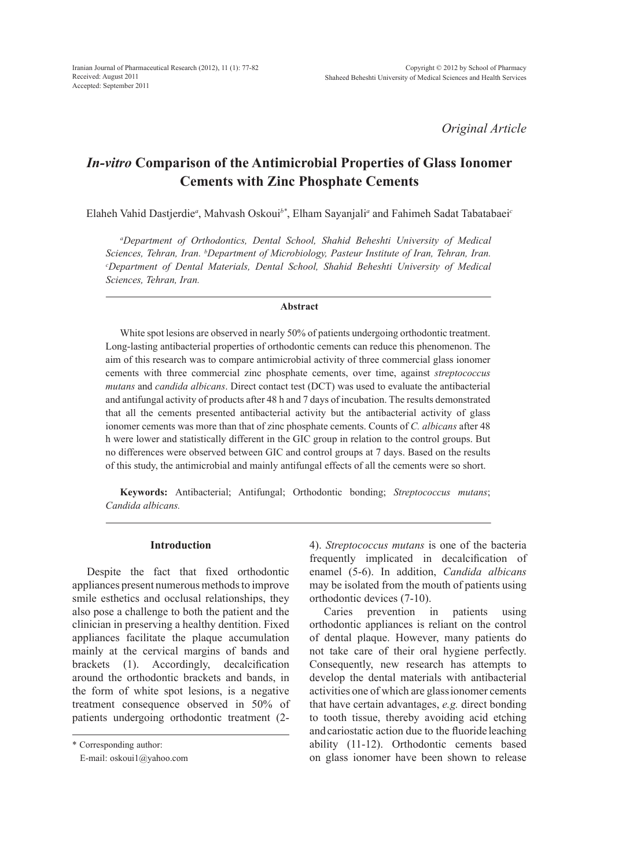*Original Article*

# *In-vitro* **Comparison of the Antimicrobial Properties of Glass Ionomer Cements with Zinc Phosphate Cements**

Elaheh Vahid Dastjerdie*<sup>a</sup>* , Mahvash Oskoui*b\**, Elham Sayanjali*<sup>a</sup>* and Fahimeh Sadat Tabatabaei*<sup>c</sup>*

*a Department of Orthodontics, Dental School, Shahid Beheshti University of Medical Sciences, Tehran, Iran. b Department of Microbiology, Pasteur Institute of Iran, Tehran, Iran. c Department of Dental Materials, Dental School, Shahid Beheshti University of Medical Sciences, Tehran, Iran.*

#### **Abstract**

White spot lesions are observed in nearly 50% of patients undergoing orthodontic treatment. Long-lasting antibacterial properties of orthodontic cements can reduce this phenomenon. The aim of this research was to compare antimicrobial activity of three commercial glass ionomer cements with three commercial zinc phosphate cements, over time, against *streptococcus mutans* and *candida albicans*. Direct contact test (DCT) was used to evaluate the antibacterial and antifungal activity of products after 48 h and 7 days of incubation. The results demonstrated that all the cements presented antibacterial activity but the antibacterial activity of glass ionomer cements was more than that of zinc phosphate cements. Counts of *C. albicans* after 48 h were lower and statistically different in the GIC group in relation to the control groups. But no differences were observed between GIC and control groups at 7 days. Based on the results of this study, the antimicrobial and mainly antifungal effects of all the cements were so short.

**Keywords:** Antibacterial; Antifungal; Orthodontic bonding; *Streptococcus mutans*; *Candida albicans.*

# **Introduction**

Despite the fact that fixed orthodontic appliances present numerous methods to improve smile esthetics and occlusal relationships, they also pose a challenge to both the patient and the clinician in preserving a healthy dentition. Fixed appliances facilitate the plaque accumulation mainly at the cervical margins of bands and brackets (1). Accordingly, decalcification around the orthodontic brackets and bands, in the form of white spot lesions, is a negative treatment consequence observed in 50% of patients undergoing orthodontic treatment (2-

\* Corresponding author:

E-mail: oskoui1@yahoo.com

4). *Streptococcus mutans* is one of the bacteria frequently implicated in decalcification of enamel (5-6). In addition, *Candida albicans*  may be isolated from the mouth of patients using orthodontic devices (7-10).

Caries prevention in patients using orthodontic appliances is reliant on the control of dental plaque. However, many patients do not take care of their oral hygiene perfectly. Consequently, new research has attempts to develop the dental materials with antibacterial activities one of which are glassionomer cements that have certain advantages, *e.g.* direct bonding to tooth tissue, thereby avoiding acid etching and cariostatic action due to the fluoride leaching ability (11-12). Orthodontic cements based on glass ionomer have been shown to release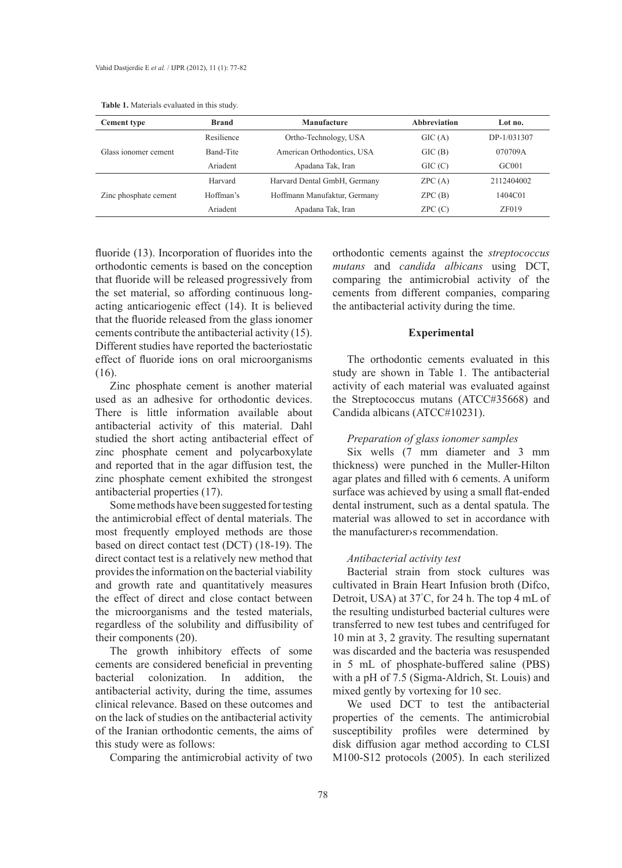| <b>Table 1.</b> Materials evaluated in this study. |  |  |  |
|----------------------------------------------------|--|--|--|
|----------------------------------------------------|--|--|--|

| <b>Cement type</b>    | Manufacture<br><b>Brand</b> |                              | <b>Abbreviation</b> | Lot no.     |
|-----------------------|-----------------------------|------------------------------|---------------------|-------------|
|                       | Resilience                  | Ortho-Technology, USA        | GIC(A)              | DP-1/031307 |
| Glass ionomer cement  | Band-Tite                   | American Orthodontics, USA   | GIC(B)              | 070709A     |
|                       | Ariadent                    | Apadana Tak, Iran            | GIC(C)              | GC001       |
|                       | Harvard                     | Harvard Dental GmbH, Germany | ZPC(A)              | 2112404002  |
| Zinc phosphate cement | Hoffman's                   | Hoffmann Manufaktur, Germany | ZPC(B)              | 1404C01     |
|                       | Ariadent                    | Apadana Tak, Iran            | ZPC(C)              | ZF019       |

fluoride (13). Incorporation of fluorides into the orthodontic cements is based on the conception that fluoride will be released progressively from the set material, so affording continuous longacting anticariogenic effect (14). It is believed that the fluoride released from the glass ionomer cements contribute the antibacterial activity (15). Different studies have reported the bacteriostatic effect of fluoride ions on oral microorganisms (16).

Zinc phosphate cement is another material used as an adhesive for orthodontic devices. There is little information available about antibacterial activity of this material. Dahl studied the short acting antibacterial effect of zinc phosphate cement and polycarboxylate and reported that in the agar diffusion test, the zinc phosphate cement exhibited the strongest antibacterial properties (17).

Some methods have been suggested for testing the antimicrobial effect of dental materials. The most frequently employed methods are those based on direct contact test (DCT) (18-19). The direct contact test is a relatively new method that provides the information on the bacterial viability and growth rate and quantitatively measures the effect of direct and close contact between the microorganisms and the tested materials, regardless of the solubility and diffusibility of their components (20).

The growth inhibitory effects of some cements are considered beneficial in preventing bacterial colonization. In addition, the antibacterial activity, during the time, assumes clinical relevance. Based on these outcomes and on the lack of studies on the antibacterial activity of the Iranian orthodontic cements, the aims of this study were as follows:

Comparing the antimicrobial activity of two

orthodontic cements against the *streptococcus mutans* and *candida albicans* using DCT, comparing the antimicrobial activity of the cements from different companies, comparing the antibacterial activity during the time.

## **Experimental**

The orthodontic cements evaluated in this study are shown in Table 1. The antibacterial activity of each material was evaluated against the Streptococcus mutans (ATCC#35668) and Candida albicans (ATCC#10231).

## *Preparation of glass ionomer samples*

Six wells (7 mm diameter and 3 mm thickness) were punched in the Muller-Hilton agar plates and filled with 6 cements. A uniform surface was achieved by using a small flat-ended dental instrument, such as a dental spatula. The material was allowed to set in accordance with the manufacturer›s recommendation.

## *Antibacterial activity test*

Bacterial strain from stock cultures was cultivated in Brain Heart Infusion broth (Difco, Detroit, USA) at 37° C, for 24 h. The top 4 mL of the resulting undisturbed bacterial cultures were transferred to new test tubes and centrifuged for 10 min at 3, 2 gravity. The resulting supernatant was discarded and the bacteria was resuspended in 5 mL of phosphate-buffered saline (PBS) with a pH of 7.5 (Sigma-Aldrich, St. Louis) and mixed gently by vortexing for 10 sec.

We used DCT to test the antibacterial properties of the cements. The antimicrobial susceptibility profiles were determined by disk diffusion agar method according to CLSI M100-S12 protocols (2005). In each sterilized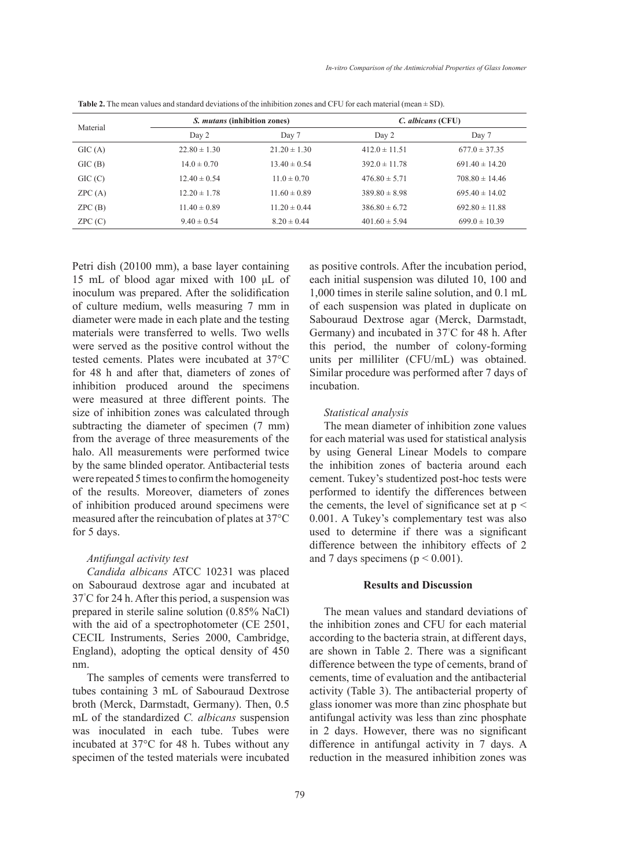| Material | <i>S. mutans</i> (inhibition zones) |                  | C. albicans (CFU) |                    |  |  |
|----------|-------------------------------------|------------------|-------------------|--------------------|--|--|
|          | Day 2                               | Day 7            | Day 2             | Day 7              |  |  |
| GIC(A)   | $22.80 \pm 1.30$                    | $21.20 \pm 1.30$ | $412.0 \pm 11.51$ | $677.0 \pm 37.35$  |  |  |
| GIC(B)   | $14.0 \pm 0.70$                     | $13.40 \pm 0.54$ | $392.0 \pm 11.78$ | $691.40 \pm 14.20$ |  |  |
| GIC(C)   | $12.40 \pm 0.54$                    | $11.0 \pm 0.70$  | $476.80 \pm 5.71$ | $708.80 \pm 14.46$ |  |  |
| ZPC(A)   | $12.20 \pm 1.78$                    | $11.60 \pm 0.89$ | $389.80 \pm 8.98$ | $695.40 \pm 14.02$ |  |  |
| ZPC(B)   | $11.40 \pm 0.89$                    | $11.20 \pm 0.44$ | $386.80 \pm 6.72$ | $692.80 \pm 11.88$ |  |  |
| ZPC(C)   | $9.40 \pm 0.54$                     | $8.20 \pm 0.44$  | $401.60 \pm 5.94$ | $699.0 \pm 10.39$  |  |  |

**Table 2.** The mean values and standard deviations of the inhibition zones and CFU for each material (mean  $\pm$  SD).

Petri dish (20100 mm), a base layer containing 15 mL of blood agar mixed with 100 μL of inoculum was prepared. After the solidification of culture medium, wells measuring 7 mm in diameter were made in each plate and the testing materials were transferred to wells. Two wells were served as the positive control without the tested cements. Plates were incubated at 37°C for 48 h and after that, diameters of zones of inhibition produced around the specimens were measured at three different points. The size of inhibition zones was calculated through subtracting the diameter of specimen  $(7 \text{ mm})$ from the average of three measurements of the halo. All measurements were performed twice by the same blinded operator. Antibacterial tests were repeated 5 times to confirm the homogeneity of the results. Moreover, diameters of zones of inhibition produced around specimens were measured after the reincubation of plates at 37°C for 5 days.

## *Antifungal activity test*

*Candida albicans* ATCC 10231 was placed on Sabouraud dextrose agar and incubated at 37° C for 24 h. After this period, a suspension was prepared in sterile saline solution (0.85% NaCl) with the aid of a spectrophotometer (CE 2501, CECIL Instruments, Series 2000, Cambridge, England), adopting the optical density of 450 nm.

The samples of cements were transferred to tubes containing 3 mL of Sabouraud Dextrose broth (Merck, Darmstadt, Germany). Then, 0.5 mL of the standardized *C. albicans* suspension was inoculated in each tube. Tubes were incubated at 37°C for 48 h. Tubes without any specimen of the tested materials were incubated as positive controls. After the incubation period, each initial suspension was diluted 10, 100 and 1,000 times in sterile saline solution, and 0.1 mL of each suspension was plated in duplicate on Sabouraud Dextrose agar (Merck, Darmstadt, Germany) and incubated in 37° C for 48 h. After this period, the number of colony-forming units per milliliter (CFU/mL) was obtained. Similar procedure was performed after 7 days of incubation.

## *Statistical analysis*

The mean diameter of inhibition zone values for each material was used for statistical analysis by using General Linear Models to compare the inhibition zones of bacteria around each cement. Tukey's studentized post-hoc tests were performed to identify the differences between the cements, the level of significance set at  $p <$ 0.001. A Tukey's complementary test was also used to determine if there was a significant difference between the inhibitory effects of 2 and 7 days specimens ( $p < 0.001$ ).

# **Results and Discussion**

The mean values and standard deviations of the inhibition zones and CFU for each material according to the bacteria strain, at different days, are shown in Table 2. There was a significant difference between the type of cements, brand of cements, time of evaluation and the antibacterial activity (Table 3). The antibacterial property of glass ionomer was more than zinc phosphate but antifungal activity was less than zinc phosphate in 2 days. However, there was no significant difference in antifungal activity in 7 days. A reduction in the measured inhibition zones was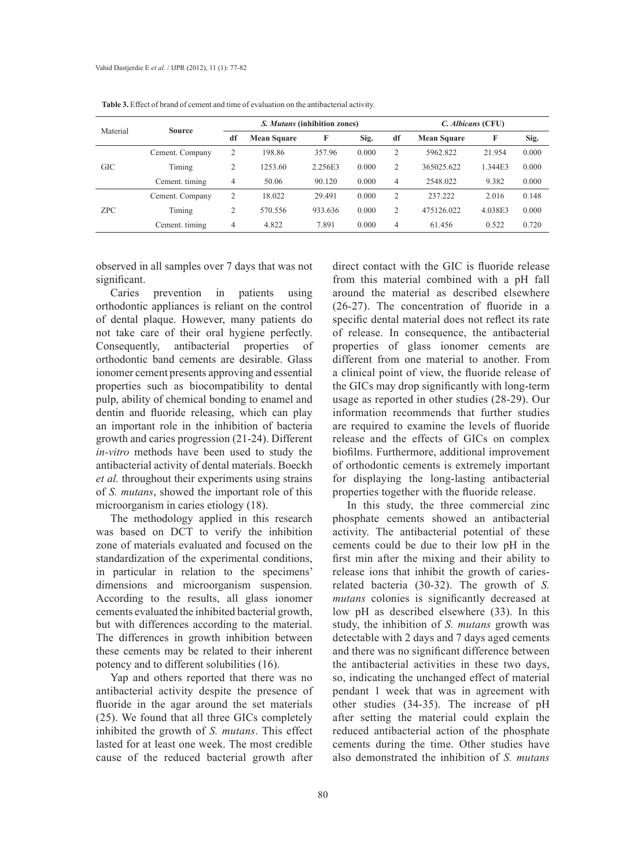| Material   | <b>Source</b>   | <i>S. Mutans</i> (inhibition zones) |                    |         |       | C. Albicans (CFU) |                    |         |       |
|------------|-----------------|-------------------------------------|--------------------|---------|-------|-------------------|--------------------|---------|-------|
|            |                 | df                                  | <b>Mean Square</b> | F       | Sig.  | df                | <b>Mean Square</b> | F       | Sig.  |
| <b>GIC</b> | Cement. Company | 2                                   | 198.86             | 357.96  | 0.000 | $\overline{2}$    | 5962.822           | 21.954  | 0.000 |
|            | Timing          | $\overline{2}$                      | 1253.60            | 2.256E3 | 0.000 | $\overline{2}$    | 365025.622         | 1.344E3 | 0.000 |
|            | Cement, timing  | 4                                   | 50.06              | 90.120  | 0.000 | 4                 | 2548.022           | 9.382   | 0.000 |
| ZPC        | Cement. Company | 2                                   | 18.022             | 29.491  | 0.000 | $\overline{2}$    | 237.222            | 2.016   | 0.148 |
|            | Timing          | 2                                   | 570.556            | 933.636 | 0.000 | $\overline{2}$    | 475126.022         | 4.038E3 | 0.000 |
|            | Cement. timing  | 4                                   | 4.822              | 7.891   | 0.000 | 4                 | 61.456             | 0.522   | 0.720 |

**Table 3.** Effect of brand of cement and time of evaluation on the antibacterial activity.

observed in all samples over 7 days that was not significant.

Caries prevention in patients using orthodontic appliances is reliant on the control of dental plaque. However, many patients do not take care of their oral hygiene perfectly. Consequently, antibacterial properties of orthodontic band cements are desirable. Glass ionomer cement presents approving and essential properties such as biocompatibility to dental pulp, ability of chemical bonding to enamel and dentin and fluoride releasing, which can play an important role in the inhibition of bacteria growth and caries progression (21-24). Different *in-vitro* methods have been used to study the antibacterial activity of dental materials. Boeckh *et al.* throughout their experiments using strains of *S. mutans*, showed the important role of this microorganism in caries etiology (18).

The methodology applied in this research was based on DCT to verify the inhibition zone of materials evaluated and focused on the standardization of the experimental conditions, in particular in relation to the specimens' dimensions and microorganism suspension. According to the results, all glass ionomer cements evaluated the inhibited bacterial growth, but with differences according to the material. The differences in growth inhibition between these cements may be related to their inherent potency and to different solubilities (16).

Yap and others reported that there was no antibacterial activity despite the presence of fluoride in the agar around the set materials (25). We found that all three GICs completely inhibited the growth of *S. mutans*. This effect lasted for at least one week. The most credible cause of the reduced bacterial growth after direct contact with the GIC is fluoride release from this material combined with a pH fall around the material as described elsewhere (26-27). The concentration of fluoride in a specific dental material does not reflect its rate of release. In consequence, the antibacterial properties of glass ionomer cements are different from one material to another. From a clinical point of view, the fluoride release of the GICs may drop significantly with long-term usage as reported in other studies (28-29). Our information recommends that further studies are required to examine the levels of fluoride release and the effects of GICs on complex biofilms. Furthermore, additional improvement of orthodontic cements is extremely important for displaying the long-lasting antibacterial properties together with the fluoride release.

In this study, the three commercial zinc phosphate cements showed an antibacterial activity. The antibacterial potential of these cements could be due to their low pH in the first min after the mixing and their ability to release ions that inhibit the growth of cariesrelated bacteria (30-32). The growth of *S. mutans* colonies is significantly decreased at low pH as described elsewhere (33). In this study, the inhibition of *S. mutans* growth was detectable with 2 days and 7 days aged cements and there was no significant difference between the antibacterial activities in these two days, so, indicating the unchanged effect of material pendant 1 week that was in agreement with other studies (34-35). The increase of pH after setting the material could explain the reduced antibacterial action of the phosphate cements during the time. Other studies have also demonstrated the inhibition of *S. mutans*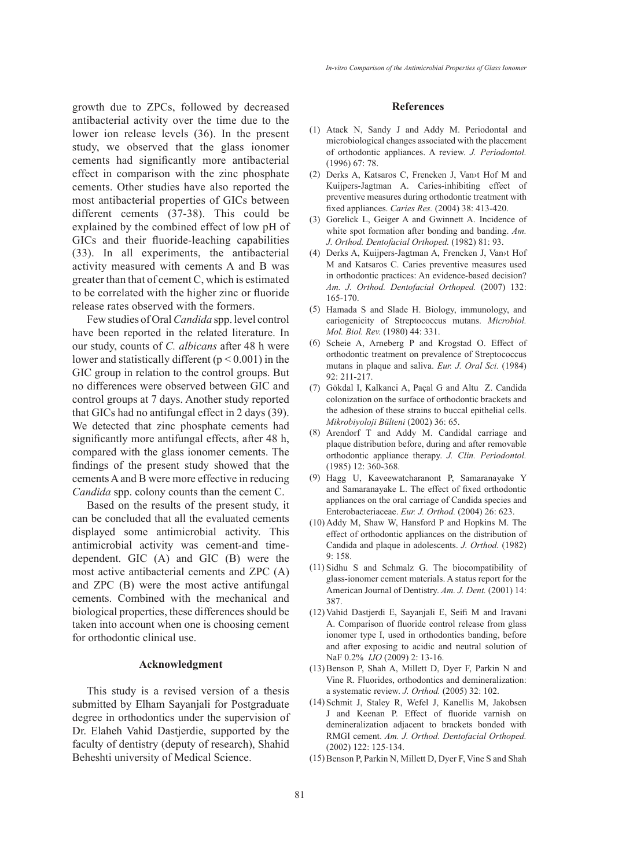growth due to ZPCs, followed by decreased antibacterial activity over the time due to the lower ion release levels (36). In the present study, we observed that the glass ionomer cements had significantly more antibacterial effect in comparison with the zinc phosphate cements. Other studies have also reported the most antibacterial properties of GICs between different cements (37-38). This could be explained by the combined effect of low pH of GICs and their fluoride-leaching capabilities (33). In all experiments, the antibacterial activity measured with cements A and B was greater than that of cement C, which is estimated to be correlated with the higher zinc or fluoride release rates observed with the formers.

Few studies of Oral *Candida* spp. level control have been reported in the related literature. In our study, counts of *C. albicans* after 48 h were lower and statistically different  $(p < 0.001)$  in the GIC group in relation to the control groups. But no differences were observed between GIC and control groups at 7 days. Another study reported that GICs had no antifungal effect in 2 days (39). We detected that zinc phosphate cements had significantly more antifungal effects, after 48 h, compared with the glass ionomer cements. The findings of the present study showed that the cements A and B were more effective in reducing *Candida* spp. colony counts than the cement C.

Based on the results of the present study, it can be concluded that all the evaluated cements displayed some antimicrobial activity. This antimicrobial activity was cement-and timedependent. GIC (A) and GIC (B) were the most active antibacterial cements and ZPC (A) and ZPC (B) were the most active antifungal cements. Combined with the mechanical and biological properties, these differences should be taken into account when one is choosing cement for orthodontic clinical use.

## **Acknowledgment**

This study is a revised version of a thesis submitted by Elham Sayanjali for Postgraduate degree in orthodontics under the supervision of Dr. Elaheh Vahid Dastjerdie, supported by the faculty of dentistry (deputy of research), Shahid Beheshti university of Medical Science.

#### **References**

- Atack N, Sandy J and Addy M. Periodontal and (1) microbiological changes associated with the placement of orthodontic appliances. A review. *J. Periodontol.*  (1996) 67: 78.
- Derks A, Katsaros C, Frencken J, Van›t Hof M and (2) Kuijpers-Jagtman A. Caries-inhibiting effect of preventive measures during orthodontic treatment with fixed appliances. *Caries Res.* (2004) 38: 413-420.
- (3) Gorelick L, Geiger A and Gwinnett A. Incidence of white spot formation after bonding and banding. *Am. J. Orthod. Dentofacial Orthoped.* (1982) 81: 93.
- Derks A, Kuijpers-Jagtman A, Frencken J, Van›t Hof (4) M and Katsaros C. Caries preventive measures used in orthodontic practices: An evidence-based decision? *Am. J. Orthod. Dentofacial Orthoped.* (2007) 132: 165-170.
- Hamada S and Slade H. Biology, immunology, and (5) cariogenicity of Streptococcus mutans. *Microbiol. Mol. Biol. Rev.* (1980) 44: 331.
- (6) Scheie A, Arneberg P and Krogstad O. Effect of orthodontic treatment on prevalence of Streptococcus mutans in plaque and saliva. *Eur. J. Oral Sci.* (1984) 92: 211-217.
- Gökdal I, Kalkanci A, Paçal G and Altu Z. Candida (7) colonization on the surface of orthodontic brackets and the adhesion of these strains to buccal epithelial cells. *Mikrobiyoloji Bülteni* (2002) 36: 65.
- Arendorf T and Addy M. Candidal carriage and (8) plaque distribution before, during and after removable orthodontic appliance therapy. *J. Clin. Periodontol.*  (1985) 12: 360-368.
- Hagg U, Kaveewatcharanont P, Samaranayake Y (9) and Samaranayake L. The effect of fixed orthodontic appliances on the oral carriage of Candida species and Enterobacteriaceae. *Eur. J. Orthod.* (2004) 26: 623.
- $(10)$  Addy M, Shaw W, Hansford P and Hopkins M. The effect of orthodontic appliances on the distribution of Candida and plaque in adolescents. *J. Orthod.* (1982) 9: 158.
- $(11)$  Sidhu S and Schmalz G. The biocompatibility of glass-ionomer cement materials. A status report for the American Journal of Dentistry. *Am. J. Dent.* (2001) 14: 387.
- Vahid Dastjerdi E, Sayanjali E, Seifi M and Iravani (12) A. Comparison of fluoride control release from glass ionomer type I, used in orthodontics banding, before and after exposing to acidic and neutral solution of NaF 0.2% *IJO* (2009) 2: 13-16.
- $(13)$  Benson P, Shah A, Millett D, Dyer F, Parkin N and Vine R. Fluorides, orthodontics and demineralization: a systematic review. *J. Orthod.* (2005) 32: 102.
- (14) Schmit J, Staley R, Wefel J, Kanellis M, Jakobsen J and Keenan P. Effect of fluoride varnish on demineralization adjacent to brackets bonded with RMGI cement. *Am. J. Orthod. Dentofacial Orthoped.*  (2002) 122: 125-134.
- (15) Benson P, Parkin N, Millett D, Dyer F, Vine S and Shah